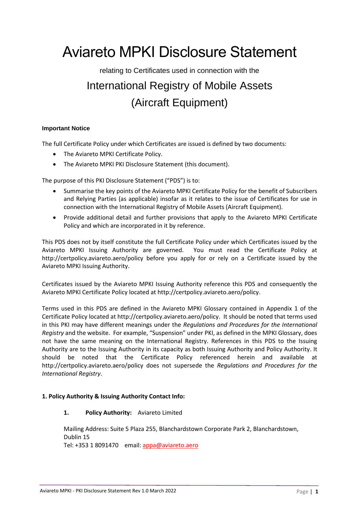# Aviareto MPKI Disclosure Statement

# relating to Certificates used in connection with the International Registry of Mobile Assets (Aircraft Equipment)

# **Important Notice**

The full Certificate Policy under which Certificates are issued is defined by two documents:

- The Aviareto MPKI Certificate Policy.
- The Aviareto MPKI PKI Disclosure Statement (this document).

The purpose of this PKI Disclosure Statement ("PDS") is to:

- Summarise the key points of the Aviareto MPKI Certificate Policy for the benefit of Subscribers and Relying Parties (as applicable) insofar as it relates to the issue of Certificates for use in connection with the International Registry of Mobile Assets (Aircraft Equipment).
- Provide additional detail and further provisions that apply to the Aviareto MPKI Certificate Policy and which are incorporated in it by reference.

This PDS does not by itself constitute the full Certificate Policy under which Certificates issued by the Aviareto MPKI Issuing Authority are governed. You must read the Certificate Policy at http://certpolicy.aviareto.aero/policy before you apply for or rely on a Certificate issued by the Aviareto MPKI Issuing Authority.

Certificates issued by the Aviareto MPKI Issuing Authority reference this PDS and consequently the Aviareto MPKI Certificate Policy located at http://certpolicy.aviareto.aero/policy.

Terms used in this PDS are defined in the Aviareto MPKI Glossary contained in Appendix 1 of the Certificate Policy located at http://certpolicy.aviareto.aero/policy. It should be noted that terms used in this PKI may have different meanings under the *Regulations and Procedures for the International Registry* and the website. For example, "Suspension" under PKI, as defined in the MPKI Glossary, does not have the same meaning on the International Registry. References in this PDS to the Issuing Authority are to the Issuing Authority in its capacity as both Issuing Authority and Policy Authority. It should be noted that the Certificate Policy referenced herein and available at http://certpolicy.aviareto.aero/policy does not supersede the *Regulations and Procedures for the International Registry*.

# **1. Policy Authority & Issuing Authority Contact Info:**

# **1. Policy Authority:** Aviareto Limited

Mailing Address: Suite 5 Plaza 255, Blanchardstown Corporate Park 2, Blanchardstown, Dublin 15 Tel: +353 1 8091470 email: [appa@aviareto.aero](mailto:appa@aviareto.aero)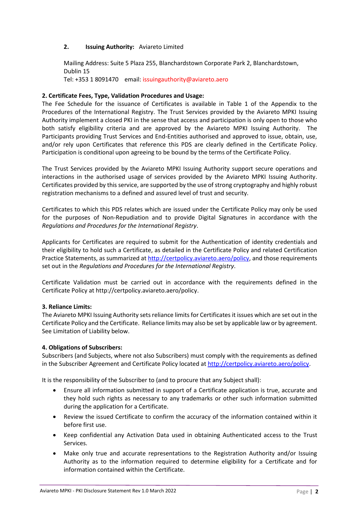# **2. Issuing Authority:** Aviareto Limited

Mailing Address: Suite 5 Plaza 255, Blanchardstown Corporate Park 2, Blanchardstown, Dublin 15

Tel: +353 1 8091470 email: issuingauthority@aviareto.aero

# **2. Certificate Fees, Type, Validation Procedures and Usage:**

The Fee Schedule for the issuance of Certificates is available in Table 1 of the Appendix to the Procedures of the International Registry. The Trust Services provided by the Aviareto MPKI Issuing Authority implement a closed PKI in the sense that access and participation is only open to those who both satisfy eligibility criteria and are approved by the Aviareto MPKI Issuing Authority. The Participants providing Trust Services and End-Entities authorised and approved to issue, obtain, use, and/or rely upon Certificates that reference this PDS are clearly defined in the Certificate Policy. Participation is conditional upon agreeing to be bound by the terms of the Certificate Policy.

The Trust Services provided by the Aviareto MPKI Issuing Authority support secure operations and interactions in the authorised usage of services provided by the Aviareto MPKI Issuing Authority. Certificates provided by this service, are supported by the use of strong cryptography and highly robust registration mechanisms to a defined and assured level of trust and security.

Certificates to which this PDS relates which are issued under the Certificate Policy may only be used for the purposes of Non-Repudiation and to provide Digital Signatures in accordance with the *Regulations and Procedures for the International Registry*.

Applicants for Certificates are required to submit for the Authentication of identity credentials and their eligibility to hold such a Certificate, as detailed in the Certificate Policy and related Certification Practice Statements, as summarized at [http://certpolicy.aviareto.aero/policy,](http://certpolicy.aviareto.aero/policy) and those requirements set out in the *Regulations and Procedures for the International Registry*.

Certificate Validation must be carried out in accordance with the requirements defined in the Certificate Policy at http://certpolicy.aviareto.aero/policy.

# **3. Reliance Limits:**

The Aviareto MPKI Issuing Authority sets reliance limits for Certificates it issues which are set out in the Certificate Policy and the Certificate. Reliance limits may also be set by applicable law or by agreement. See Limitation of Liability below.

# **4. Obligations of Subscribers:**

Subscribers (and Subjects, where not also Subscribers) must comply with the requirements as defined in the Subscriber Agreement and Certificate Policy located a[t http://certpolicy.aviareto.aero/policy.](http://certpolicy.aviareto.aero/policy)

It is the responsibility of the Subscriber to (and to procure that any Subject shall):

- Ensure all information submitted in support of a Certificate application is true, accurate and they hold such rights as necessary to any trademarks or other such information submitted during the application for a Certificate.
- Review the issued Certificate to confirm the accuracy of the information contained within it before first use.
- Keep confidential any Activation Data used in obtaining Authenticated access to the Trust Services.
- Make only true and accurate representations to the Registration Authority and/or Issuing Authority as to the information required to determine eligibility for a Certificate and for information contained within the Certificate.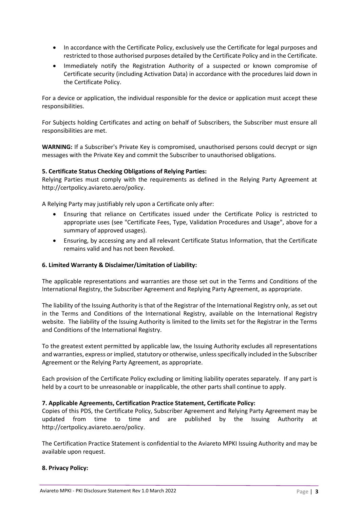- In accordance with the Certificate Policy, exclusively use the Certificate for legal purposes and restricted to those authorised purposes detailed by the Certificate Policy and in the Certificate.
- Immediately notify the Registration Authority of a suspected or known compromise of Certificate security (including Activation Data) in accordance with the procedures laid down in the Certificate Policy.

For a device or application, the individual responsible for the device or application must accept these responsibilities.

For Subjects holding Certificates and acting on behalf of Subscribers, the Subscriber must ensure all responsibilities are met.

**WARNING:** If a Subscriber's Private Key is compromised, unauthorised persons could decrypt or sign messages with the Private Key and commit the Subscriber to unauthorised obligations.

# **5. Certificate Status Checking Obligations of Relying Parties:**

Relying Parties must comply with the requirements as defined in the Relying Party Agreement at http://certpolicy.aviareto.aero/policy.

A Relying Party may justifiably rely upon a Certificate only after:

- Ensuring that reliance on Certificates issued under the Certificate Policy is restricted to appropriate uses (see "Certificate Fees, Type, Validation Procedures and Usage", above for a summary of approved usages).
- Ensuring, by accessing any and all relevant Certificate Status Information, that the Certificate remains valid and has not been Revoked.

#### **6. Limited Warranty & Disclaimer/Limitation of Liability:**

The applicable representations and warranties are those set out in the Terms and Conditions of the International Registry, the Subscriber Agreement and Replying Party Agreement, as appropriate.

The liability of the Issuing Authority is that of the Registrar of the International Registry only, as set out in the Terms and Conditions of the International Registry, available on the International Registry website. The liability of the Issuing Authority is limited to the limits set for the Registrar in the Terms and Conditions of the International Registry.

To the greatest extent permitted by applicable law, the Issuing Authority excludes all representations and warranties, express or implied, statutory or otherwise, unless specifically included in the Subscriber Agreement or the Relying Party Agreement, as appropriate.

Each provision of the Certificate Policy excluding or limiting liability operates separately. If any part is held by a court to be unreasonable or inapplicable, the other parts shall continue to apply.

#### **7. Applicable Agreements, Certification Practice Statement, Certificate Policy:**

Copies of this PDS, the Certificate Policy, Subscriber Agreement and Relying Party Agreement may be updated from time to time and are published by the Issuing Authority at http://certpolicy.aviareto.aero/policy.

The Certification Practice Statement is confidential to the Aviareto MPKI Issuing Authority and may be available upon request.

#### **8. Privacy Policy:**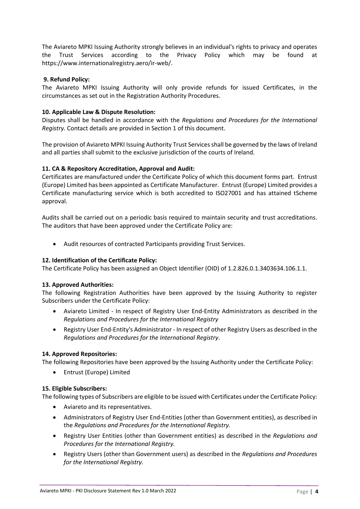The Aviareto MPKI Issuing Authority strongly believes in an individual's rights to privacy and operates the Trust Services according to the Privacy Policy which may be found at https://www.internationalregistry.aero/ir-web/.

# **9. Refund Policy:**

The Aviareto MPKI Issuing Authority will only provide refunds for issued Certificates, in the circumstances as set out in the Registration Authority Procedures.

# **10. Applicable Law & Dispute Resolution:**

Disputes shall be handled in accordance with the *Regulations and Procedures for the International Registry.* Contact details are provided in Section 1 of this document.

The provision of Aviareto MPKI Issuing Authority Trust Services shall be governed by the laws of Ireland and all parties shall submit to the exclusive jurisdiction of the courts of Ireland.

# **11. CA & Repository Accreditation, Approval and Audit:**

Certificates are manufactured under the Certificate Policy of which this document forms part. Entrust (Europe) Limited has been appointed as Certificate Manufacturer. Entrust (Europe) Limited provides a Certificate manufacturing service which is both accredited to ISO27001 and has attained tScheme approval.

Audits shall be carried out on a periodic basis required to maintain security and trust accreditations. The auditors that have been approved under the Certificate Policy are:

• Audit resources of contracted Participants providing Trust Services.

#### **12. Identification of the Certificate Policy:**

The Certificate Policy has been assigned an Object Identifier (OID) of 1.2.826.0.1.3403634.106.1.1.

#### **13. Approved Authorities:**

The following Registration Authorities have been approved by the Issuing Authority to register Subscribers under the Certificate Policy:

- Aviareto Limited In respect of Registry User End-Entity Administrators as described in the *Regulations and Procedures for the International Registry*
- Registry User End-Entity's Administrator In respect of other Registry Users as described in the *Regulations and Procedures for the International Registry*.

#### **14. Approved Repositories:**

The following Repositories have been approved by the Issuing Authority under the Certificate Policy:

• Entrust (Europe) Limited

#### **15. Eligible Subscribers:**

The following types of Subscribers are eligible to be issued with Certificates under the Certificate Policy:

- Aviareto and its representatives.
- Administrators of Registry User End-Entities (other than Government entities), as described in the *Regulations and Procedures for the International Registry.*
- Registry User Entities (other than Government entities) as described in the *Regulations and Procedures for the International Registry.*
- Registry Users (other than Government users) as described in the *Regulations and Procedures for the International Registry.*